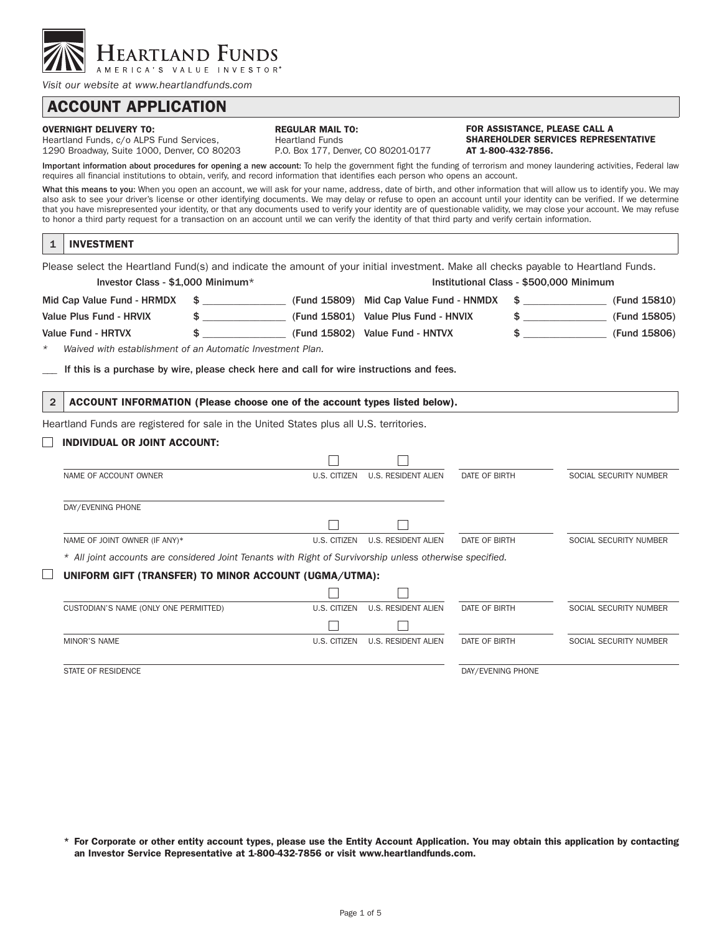

*Visit our website at www.heartlandfunds.com*

# ACCOUNT APPLICATION

#### OVERNIGHT DELIVERY TO:

Heartland Funds, c/o ALPS Fund Services, 1290 Broadway, Suite 1000, Denver, CO 80203

|     | REGULAR MAIL TO: |  |  |  |
|-----|------------------|--|--|--|
| . . |                  |  |  |  |

Heartland Funds P.O. Box 177, Denver, CO 80201-0177 FOR ASSISTANCE, PLEASE CALL A SHAREHOLDER SERVICES REPRESENTATIVE AT 1-800-432-7856.

Important information about procedures for opening a new account: To help the government fight the funding of terrorism and money laundering activities, Federal law requires all financial institutions to obtain, verify, and record information that identifies each person who opens an account.

What this means to you: When you open an account, we will ask for your name, address, date of birth, and other information that will allow us to identify you. We may also ask to see your driver's license or other identifying documents. We may delay or refuse to open an account until your identity can be verified. If we determine that you have misrepresented your identity, or that any documents used to verify your identity are of questionable validity, we may close your account. We may refuse to honor a third party request for a transaction on an account until we can verify the identity of that third party and verify certain information.

| <b>INVESTMENT</b> |
|-------------------|
|                   |

Please select the Heartland Fund(s) and indicate the amount of your initial investment. Make all checks payable to Heartland Funds. Investor Class - \$1,000 Minimum\* Institutional Class - \$500,000 Minimum Mid Cap Value Fund - HRMDX \$ \_\_\_\_\_\_\_\_\_\_\_\_\_\_\_\_ (Fund 15809) Mid Cap Value Fund - HNMDX \$ \_\_\_\_\_\_\_\_\_\_\_\_\_\_\_\_ (Fund 15810) Value Plus Fund - HRVIX  $\frac{1}{2}$   $\frac{1}{2}$  (Fund 15801) Value Plus Fund - HNVIX  $\frac{1}{2}$  (Fund 15805) Value Fund - HRTVX  $\$\qquad$   $\$\qquad$  (Fund 15806) Value Fund - HNTVX  $\$\qquad$  (Fund 15806)

*\* Waived with establishment of an Automatic Investment Plan.*

If this is a purchase by wire, please check here and call for wire instructions and fees.

2 ACCOUNT INFORMATION (Please choose one of the account types listed below).

Heartland Funds are registered for sale in the United States plus all U.S. territories.

## $\Box$  INDIVIDUAL OR JOINT ACCOUNT:

| NAME OF ACCOUNT OWNER                                                                                    | U.S. CITIZEN | <b>U.S. RESIDENT ALIEN</b> | DATE OF BIRTH     | SOCIAL SECURITY NUMBER |
|----------------------------------------------------------------------------------------------------------|--------------|----------------------------|-------------------|------------------------|
|                                                                                                          |              |                            |                   |                        |
| DAY/EVENING PHONE                                                                                        |              |                            |                   |                        |
|                                                                                                          |              |                            |                   |                        |
| NAME OF JOINT OWNER (IF ANY)*                                                                            | U.S. CITIZEN | <b>U.S. RESIDENT ALIEN</b> | DATE OF BIRTH     | SOCIAL SECURITY NUMBER |
| * All joint accounts are considered Joint Tenants with Right of Survivorship unless otherwise specified. |              |                            |                   |                        |
| UNIFORM GIFT (TRANSFER) TO MINOR ACCOUNT (UGMA/UTMA):                                                    |              |                            |                   |                        |
|                                                                                                          |              |                            |                   |                        |
| CUSTODIAN'S NAME (ONLY ONE PERMITTED)                                                                    | U.S. CITIZEN | <b>U.S. RESIDENT ALIEN</b> | DATE OF BIRTH     | SOCIAL SECURITY NUMBER |
|                                                                                                          |              |                            |                   |                        |
| <b>MINOR'S NAME</b>                                                                                      | U.S. CITIZEN | <b>U.S. RESIDENT ALIEN</b> | DATE OF BIRTH     | SOCIAL SECURITY NUMBER |
|                                                                                                          |              |                            |                   |                        |
| STATE OF RESIDENCE                                                                                       |              |                            | DAY/EVENING PHONE |                        |

\* For Corporate or other entity account types, please use the Entity Account Application. You may obtain this application by contacting an Investor Service Representative at 1-800-432-7856 or visit www.heartlandfunds.com.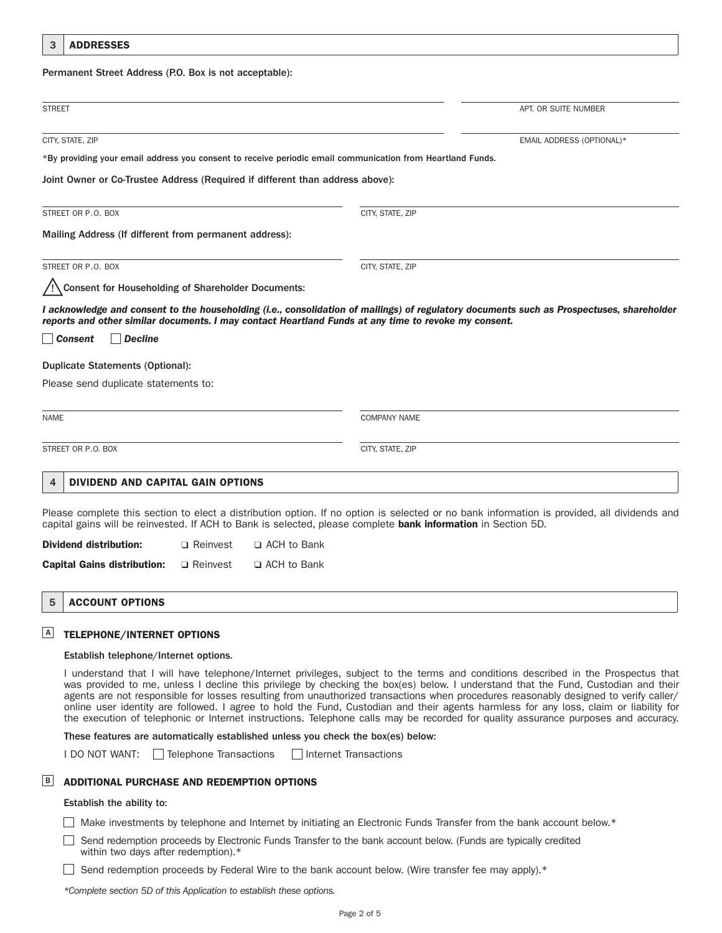| <b>ADDRESSES</b><br>3                                                                                         |                 |               |                     |                                                                                                                                             |
|---------------------------------------------------------------------------------------------------------------|-----------------|---------------|---------------------|---------------------------------------------------------------------------------------------------------------------------------------------|
| Permanent Street Address (P.O. Box is not acceptable):                                                        |                 |               |                     |                                                                                                                                             |
| <b>STREET</b>                                                                                                 |                 |               |                     | APT. OR SUITE NUMBER                                                                                                                        |
| CITY, STATE, ZIP                                                                                              |                 |               |                     | EMAIL ADDRESS (OPTIONAL)*                                                                                                                   |
| *By providing your email address you consent to receive periodic email communication from Heartland Funds.    |                 |               |                     |                                                                                                                                             |
| Joint Owner or Co-Trustee Address (Required if different than address above):                                 |                 |               |                     |                                                                                                                                             |
| STREET OR P.O. BOX                                                                                            |                 |               | CITY, STATE, ZIP    |                                                                                                                                             |
| Mailing Address (If different from permanent address):                                                        |                 |               |                     |                                                                                                                                             |
| STREET OR P.O. BOX                                                                                            |                 |               | CITY, STATE, ZIP    |                                                                                                                                             |
| / Consent for Householding of Shareholder Documents:                                                          |                 |               |                     |                                                                                                                                             |
| reports and other similar documents. I may contact Heartland Funds at any time to revoke my consent.          |                 |               |                     | I acknowledge and consent to the householding (i.e., consolidation of mailings) of regulatory documents such as Prospectuses, shareholder   |
| │ <i>Consent</i><br>$\vert$ Decline                                                                           |                 |               |                     |                                                                                                                                             |
| <b>Duplicate Statements (Optional):</b>                                                                       |                 |               |                     |                                                                                                                                             |
| Please send duplicate statements to:                                                                          |                 |               |                     |                                                                                                                                             |
| <b>NAME</b>                                                                                                   |                 |               | <b>COMPANY NAME</b> |                                                                                                                                             |
| STREET OR P.O. BOX                                                                                            |                 |               | CITY, STATE, ZIP    |                                                                                                                                             |
| <b>DIVIDEND AND CAPITAL GAIN OPTIONS</b><br>4                                                                 |                 |               |                     |                                                                                                                                             |
| capital gains will be reinvested. If ACH to Bank is selected, please complete bank information in Section 5D. |                 |               |                     | Please complete this section to elect a distribution option. If no option is selected or no bank information is provided, all dividends and |
| <b>Dividend distribution:</b>                                                                                 | $\Box$ Reinvest | □ ACH to Bank |                     |                                                                                                                                             |
| <b>Capital Gains distribution:</b>                                                                            | $\Box$ Reinvest | □ ACH to Bank |                     |                                                                                                                                             |

#### 5 ACCOUNT OPTIONS

### $\triangleq$  Telephone/internet options

#### Establish telephone/Internet options.

 I understand that I will have telephone/Internet privileges, subject to the terms and conditions described in the Prospectus that was provided to me, unless I decline this privilege by checking the box(es) below. I understand that the Fund, Custodian and their agents are not responsible for losses resulting from unauthorized transactions when procedures reasonably designed to verify caller/ online user identity are followed. I agree to hold the Fund, Custodian and their agents harmless for any loss, claim or liability for the execution of telephonic or Internet instructions. Telephone calls may be recorded for quality assurance purposes and accuracy.

These features are automatically established unless you check the box(es) below:

I DO NOT WANT: Telephone Transactions Theorem Internet Transactions

#### **B** ADDITIONAL PURCHASE AND REDEMPTION OPTIONS

#### Establish the ability to:

 $\Box$  Make investments by telephone and Internet by initiating an Electronic Funds Transfer from the bank account below. $*$ 

Send redemption proceeds by Electronic Funds Transfer to the bank account below. (Funds are typically credited within two days after redemption).\*

Send redemption proceeds by Federal Wire to the bank account below. (Wire transfer fee may apply). $*$ 

*\*Complete section 5D of this Application to establish these options.*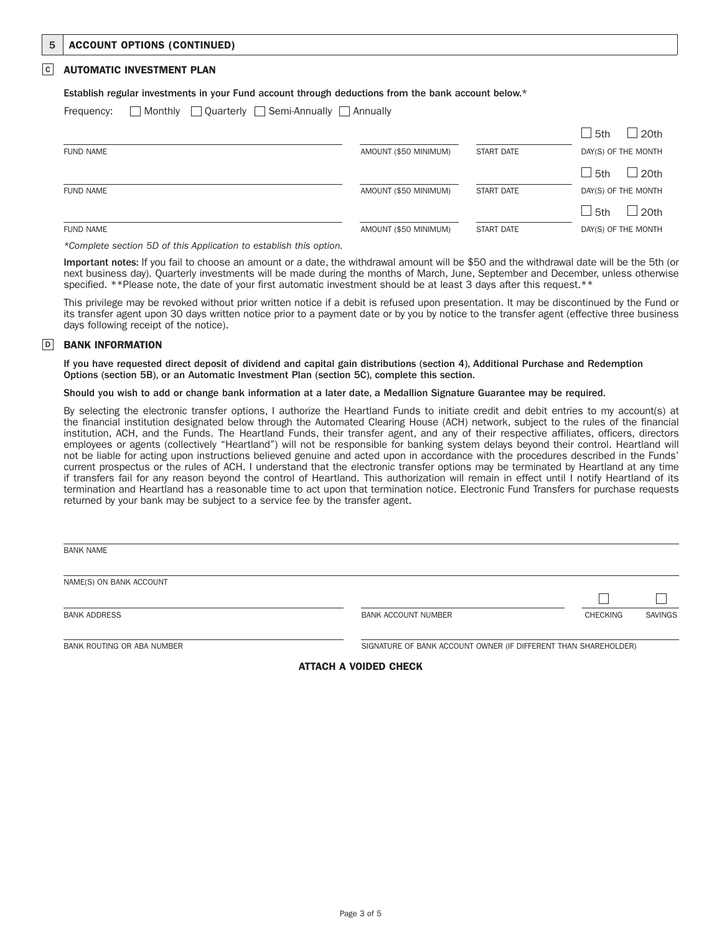## 5 ACCOUNT OPTIONS (CONTINUED)

### **C** AUTOMATIC INVESTMENT PLAN

#### Establish regular investments in your Fund account through deductions from the bank account below.\*

Frequency: Monthly Quarterly Semi-Annually Annually

|                  |                       |                   | $\perp$ 5th<br>20th            |
|------------------|-----------------------|-------------------|--------------------------------|
| <b>FUND NAME</b> | AMOUNT (\$50 MINIMUM) | <b>START DATE</b> | DAY(S) OF THE MONTH            |
|                  |                       |                   | $\Box$ 5th<br>20 <sub>th</sub> |
| <b>FUND NAME</b> | AMOUNT (\$50 MINIMUM) | <b>START DATE</b> | DAY(S) OF THE MONTH            |
|                  |                       |                   | $\Box$ 5th<br>20 <sub>th</sub> |
| <b>FUND NAME</b> | AMOUNT (\$50 MINIMUM) | START DATE        | DAY(S) OF THE MONTH            |

*\*Complete section 5D of this Application to establish this option.*

 Important notes: If you fail to choose an amount or a date, the withdrawal amount will be \$50 and the withdrawal date will be the 5th (or next business day). Quarterly investments will be made during the months of March, June, September and December, unless otherwise specified. \*\*Please note, the date of your first automatic investment should be at least 3 days after this request.\*\*

 This privilege may be revoked without prior written notice if a debit is refused upon presentation. It may be discontinued by the Fund or its transfer agent upon 30 days written notice prior to a payment date or by you by notice to the transfer agent (effective three business days following receipt of the notice).

### D BANK INFORMATION

If you have requested direct deposit of dividend and capital gain distributions (section 4), Additional Purchase and Redemption Options (section 5B), or an Automatic Investment Plan (section 5C), complete this section.

### Should you wish to add or change bank information at a later date, a Medallion Signature Guarantee may be required.

By selecting the electronic transfer options, I authorize the Heartland Funds to initiate credit and debit entries to my account(s) at the financial institution designated below through the Automated Clearing House (ACH) network, subject to the rules of the financial institution, ACH, and the Funds. The Heartland Funds, their transfer agent, and any of their respective affiliates, officers, directors employees or agents (collectively "Heartland") will not be responsible for banking system delays beyond their control. Heartland will not be liable for acting upon instructions believed genuine and acted upon in accordance with the procedures described in the Funds' current prospectus or the rules of ACH. I understand that the electronic transfer options may be terminated by Heartland at any time if transfers fail for any reason beyond the control of Heartland. This authorization will remain in effect until I notify Heartland of its termination and Heartland has a reasonable time to act upon that termination notice. Electronic Fund Transfers for purchase requests returned by your bank may be subject to a service fee by the transfer agent.

| <b>BANK NAME</b>           |                            |                                                                 |                |
|----------------------------|----------------------------|-----------------------------------------------------------------|----------------|
| NAME(S) ON BANK ACCOUNT    |                            |                                                                 |                |
|                            |                            |                                                                 |                |
| <b>BANK ADDRESS</b>        | <b>BANK ACCOUNT NUMBER</b> | <b>CHECKING</b>                                                 | <b>SAVINGS</b> |
| BANK ROUTING OR ABA NUMBER |                            | SIGNATURE OF BANK ACCOUNT OWNER (IF DIFFERENT THAN SHAREHOLDER) |                |

ATTACH A VOIDED CHECK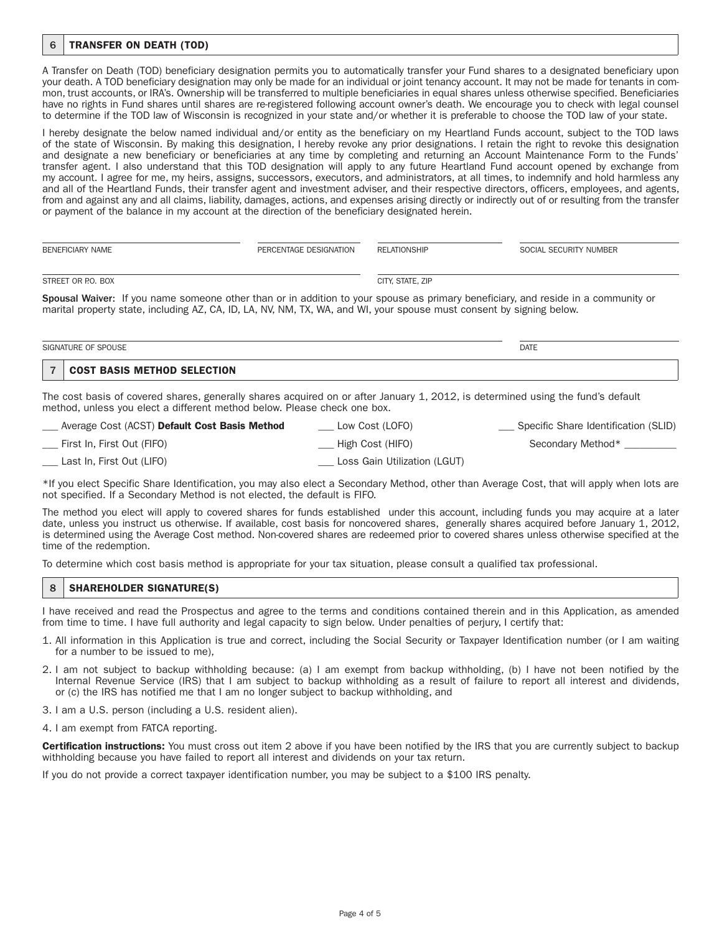### 6 TRANSFER ON DEATH (TOD)

A Transfer on Death (TOD) beneficiary designation permits you to automatically transfer your Fund shares to a designated beneficiary upon your death. A TOD beneficiary designation may only be made for an individual or joint tenancy account. It may not be made for tenants in common, trust accounts, or IRA's. Ownership will be transferred to multiple beneficiaries in equal shares unless otherwise specified. Beneficiaries have no rights in Fund shares until shares are re-registered following account owner's death. We encourage you to check with legal counsel to determine if the TOD law of Wisconsin is recognized in your state and/or whether it is preferable to choose the TOD law of your state.

I hereby designate the below named individual and/or entity as the beneficiary on my Heartland Funds account, subject to the TOD laws of the state of Wisconsin. By making this designation, I hereby revoke any prior designations. I retain the right to revoke this designation and designate a new beneficiary or beneficiaries at any time by completing and returning an Account Maintenance Form to the Funds' transfer agent. I also understand that this TOD designation will apply to any future Heartland Fund account opened by exchange from my account. I agree for me, my heirs, assigns, successors, executors, and administrators, at all times, to indemnify and hold harmless any and all of the Heartland Funds, their transfer agent and investment adviser, and their respective directors, officers, employees, and agents, from and against any and all claims, liability, damages, actions, and expenses arising directly or indirectly out of or resulting from the transfer or payment of the balance in my account at the direction of the beneficiary designated herein.

| BENEFICIARY NAME                                                                                                                                                                                                                                          | PERCENTAGE DESIGNATION | RELATIONSHIP     | SOCIAL SECURITY NUMBER |
|-----------------------------------------------------------------------------------------------------------------------------------------------------------------------------------------------------------------------------------------------------------|------------------------|------------------|------------------------|
| STREET OR P.O. BOX                                                                                                                                                                                                                                        |                        | CITY, STATE, ZIP |                        |
| Spousal Waiver: If you name someone other than or in addition to your spouse as primary beneficiary, and reside in a community or<br>marital property state, including AZ, CA, ID, LA, NV, NM, TX, WA, and WI, your spouse must consent by signing below. |                        |                  |                        |

| SIGNATURE OF SPOUSE      |                                              | <b>DATE</b> |
|--------------------------|----------------------------------------------|-------------|
| $\overline{\phantom{a}}$ | <b>BASIS METHOD SELECTION</b><br><b>COST</b> |             |

The cost basis of covered shares, generally shares acquired on or after January 1, 2012, is determined using the fund's default method, unless you elect a different method below. Please check one box.

| Average Cost (ACST) Default Cost Basis Method | Low Cost (LOFO)              | Specific Share Identification (SLID) |
|-----------------------------------------------|------------------------------|--------------------------------------|
| First In, First Out (FIFO)                    | ___ High Cost (HIFO)         | Secondary Method*                    |
| Last In, First Out (LIFO)                     | Loss Gain Utilization (LGUT) |                                      |

\*If you elect Specific Share Identification, you may also elect a Secondary Method, other than Average Cost, that will apply when lots are not specified. If a Secondary Method is not elected, the default is FIFO.

The method you elect will apply to covered shares for funds established under this account, including funds you may acquire at a later date, unless you instruct us otherwise. If available, cost basis for noncovered shares, generally shares acquired before January 1, 2012, is determined using the Average Cost method. Non-covered shares are redeemed prior to covered shares unless otherwise specified at the time of the redemption.

To determine which cost basis method is appropriate for your tax situation, please consult a qualified tax professional.

### 8 | SHAREHOLDER SIGNATURE(S)

I have received and read the Prospectus and agree to the terms and conditions contained therein and in this Application, as amended from time to time. I have full authority and legal capacity to sign below. Under penalties of perjury, I certify that:

- 1. All information in this Application is true and correct, including the Social Security or Taxpayer Identification number (or I am waiting for a number to be issued to me),
- 2. I am not subject to backup withholding because: (a) I am exempt from backup withholding, (b) I have not been notified by the Internal Revenue Service (IRS) that I am subject to backup withholding as a result of failure to report all interest and dividends, or (c) the IRS has notified me that I am no longer subject to backup withholding, and
- 3. I am a U.S. person (including a U.S. resident alien).
- 4. I am exempt from FATCA reporting.

Certification instructions: You must cross out item 2 above if you have been notified by the IRS that you are currently subject to backup withholding because you have failed to report all interest and dividends on your tax return.

If you do not provide a correct taxpayer identification number, you may be subject to a \$100 IRS penalty.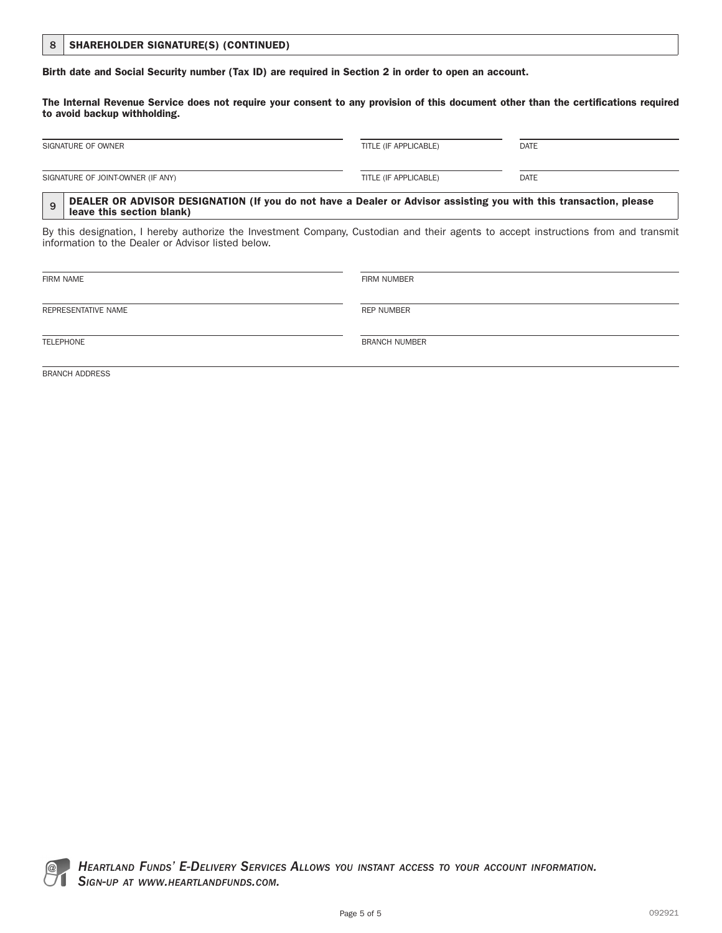|  | 8   SHAREHOLDER SIGNATURE(S) (CONTINUED) |  |  |
|--|------------------------------------------|--|--|
|--|------------------------------------------|--|--|

Birth date and Social Security number (Tax ID) are required in Section 2 in order to open an account.

The Internal Revenue Service does not require your consent to any provision of this document other than the certifications required to avoid backup withholding.

| SIGNATURE OF OWNER                | TITLE (IF APPLICABLE) | <b>DATE</b> |
|-----------------------------------|-----------------------|-------------|
| SIGNATURE OF JOINT-OWNER (IF ANY) | TITLE (IF APPLICABLE) | <b>DATE</b> |

### 9 DEALER OR ADVISOR DESIGNATION (If you do not have a Dealer or Advisor assisting you with this transaction, please leave this section blank)

By this designation, I hereby authorize the Investment Company, Custodian and their agents to accept instructions from and transmit information to the Dealer or Advisor listed below.

| <b>FIRM NAME</b>      | <b>FIRM NUMBER</b>   |  |
|-----------------------|----------------------|--|
| REPRESENTATIVE NAME   | REP NUMBER           |  |
| TELEPHONE             | <b>BRANCH NUMBER</b> |  |
| <b>BRANCH ADDRESS</b> |                      |  |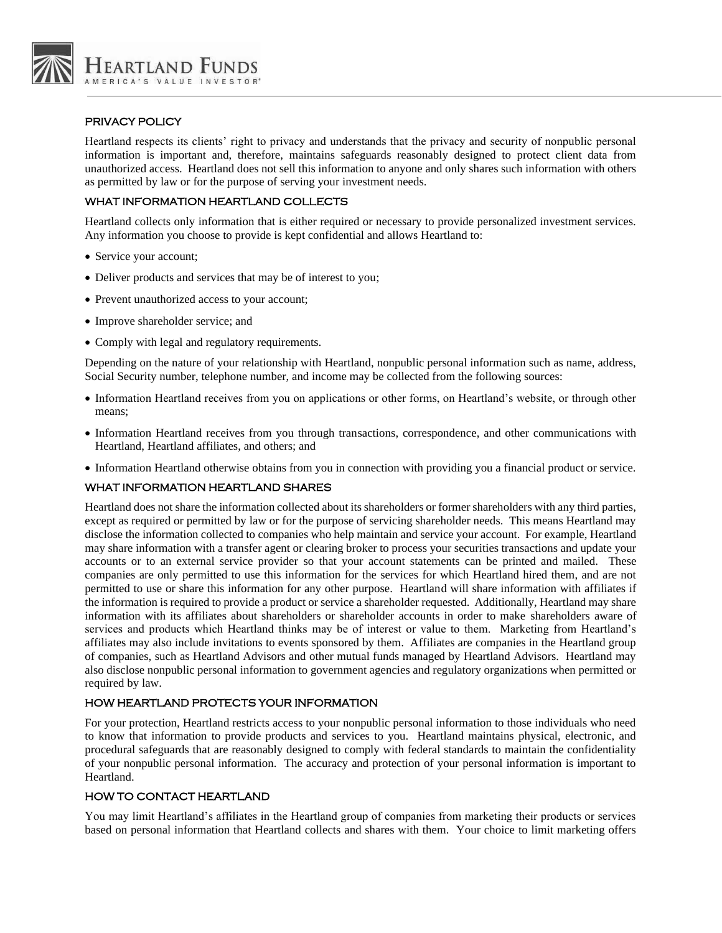

## PRIVACY POLICY

Heartland respects its clients' right to privacy and understands that the privacy and security of nonpublic personal information is important and, therefore, maintains safeguards reasonably designed to protect client data from unauthorized access. Heartland does not sell this information to anyone and only shares such information with others as permitted by law or for the purpose of serving your investment needs.

## WHAT INFORMATION HEARTLAND COLLECTS

Heartland collects only information that is either required or necessary to provide personalized investment services. Any information you choose to provide is kept confidential and allows Heartland to:

- Service your account;
- Deliver products and services that may be of interest to you;
- Prevent unauthorized access to your account;
- Improve shareholder service; and
- Comply with legal and regulatory requirements.

Depending on the nature of your relationship with Heartland, nonpublic personal information such as name, address, Social Security number, telephone number, and income may be collected from the following sources:

- Information Heartland receives from you on applications or other forms, on Heartland's website, or through other means;
- Information Heartland receives from you through transactions, correspondence, and other communications with Heartland, Heartland affiliates, and others; and
- Information Heartland otherwise obtains from you in connection with providing you a financial product or service.

## WHAT INFORMATION HEARTLAND SHARES

Heartland does not share the information collected about its shareholders or former shareholders with any third parties, except as required or permitted by law or for the purpose of servicing shareholder needs. This means Heartland may disclose the information collected to companies who help maintain and service your account. For example, Heartland may share information with a transfer agent or clearing broker to process your securities transactions and update your accounts or to an external service provider so that your account statements can be printed and mailed. These companies are only permitted to use this information for the services for which Heartland hired them, and are not permitted to use or share this information for any other purpose. Heartland will share information with affiliates if the information is required to provide a product or service a shareholder requested. Additionally, Heartland may share information with its affiliates about shareholders or shareholder accounts in order to make shareholders aware of services and products which Heartland thinks may be of interest or value to them. Marketing from Heartland's affiliates may also include invitations to events sponsored by them. Affiliates are companies in the Heartland group of companies, such as Heartland Advisors and other mutual funds managed by Heartland Advisors. Heartland may also disclose nonpublic personal information to government agencies and regulatory organizations when permitted or required by law.

## HOW HEARTLAND PROTECTS YOUR INFORMATION

For your protection, Heartland restricts access to your nonpublic personal information to those individuals who need to know that information to provide products and services to you. Heartland maintains physical, electronic, and procedural safeguards that are reasonably designed to comply with federal standards to maintain the confidentiality of your nonpublic personal information. The accuracy and protection of your personal information is important to Heartland.

## HOW TO CONTACT HEARTLAND

You may limit Heartland's affiliates in the Heartland group of companies from marketing their products or services based on personal information that Heartland collects and shares with them. Your choice to limit marketing offers